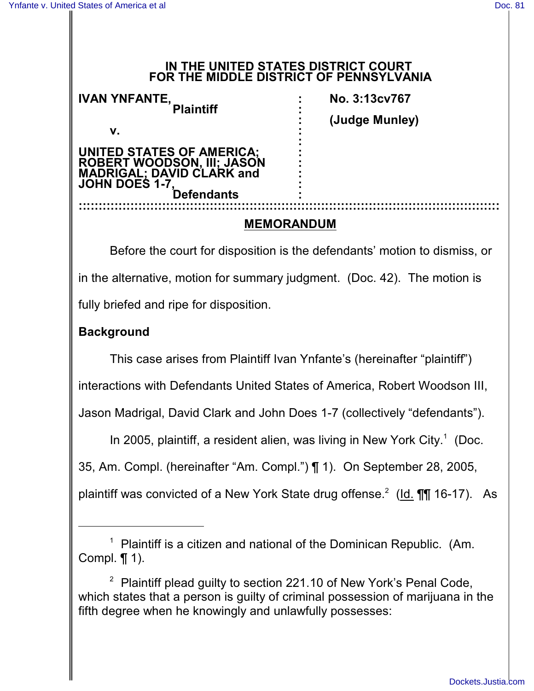#### **IN THE UNITED STATES DISTRICT COURT FOR THE MIDDLE DISTRICT OF PENNSYLVANIA**

| <b>IVAN YNFANTE,</b><br><b>Plaintiff</b>                 | No. 3:13cv767  |
|----------------------------------------------------------|----------------|
|                                                          | (Judge Munley) |
| v.                                                       |                |
| UNITED STATES OF AMERICA;<br>ROBERT WOODSON, III; JASON  |                |
| <b>MADRIGAL; DAVID CLARK and</b><br><b>JOHN DOES 1-7</b> |                |
| <b>Defendants</b>                                        |                |
|                                                          |                |

#### **MEMORANDUM**

Before the court for disposition is the defendants' motion to dismiss, or in the alternative, motion for summary judgment. (Doc. 42). The motion is fully briefed and ripe for disposition.

#### **Background**

This case arises from Plaintiff Ivan Ynfante's (hereinafter "plaintiff")

interactions with Defendants United States of America, Robert Woodson III,

Jason Madrigal, David Clark and John Does 1-7 (collectively "defendants").

In 2005, plaintiff, a resident alien, was living in New York City.<sup>1</sup> (Doc.

35, Am. Compl. (hereinafter "Am. Compl.") ¶ 1). On September 28, 2005,

plaintiff was convicted of a New York State drug offense.<sup>2</sup> (Id.  $\P\P$  16-17). As

 $1$  Plaintiff is a citizen and national of the Dominican Republic. (Am. Compl. ¶ 1).

 $2$  Plaintiff plead guilty to section 221.10 of New York's Penal Code, which states that a person is guilty of criminal possession of marijuana in the fifth degree when he knowingly and unlawfully possesses: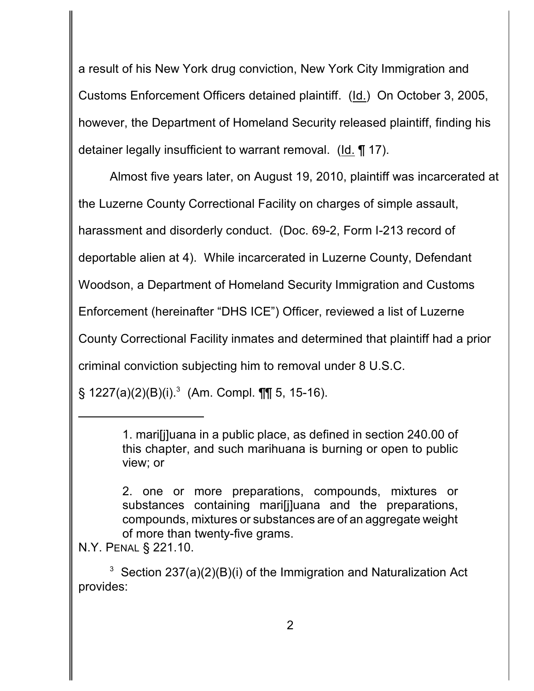a result of his New York drug conviction, New York City Immigration and Customs Enforcement Officers detained plaintiff. (Id.) On October 3, 2005, however, the Department of Homeland Security released plaintiff, finding his detainer legally insufficient to warrant removal. (Id. ¶ 17).

Almost five years later, on August 19, 2010, plaintiff was incarcerated at the Luzerne County Correctional Facility on charges of simple assault, harassment and disorderly conduct. (Doc. 69-2, Form I-213 record of deportable alien at 4). While incarcerated in Luzerne County, Defendant Woodson, a Department of Homeland Security Immigration and Customs Enforcement (hereinafter "DHS ICE") Officer, reviewed a list of Luzerne County Correctional Facility inmates and determined that plaintiff had a prior criminal conviction subjecting him to removal under 8 U.S.C.

 $\S$  1227(a)(2)(B)(i).<sup>3</sup> (Am. Compl. ¶¶ 5, 15-16).

N.Y. PENAL § 221.10.

<sup>1.</sup> mari[j]uana in a public place, as defined in section 240.00 of this chapter, and such marihuana is burning or open to public view; or

<sup>2.</sup> one or more preparations, compounds, mixtures or substances containing mari[j]uana and the preparations, compounds, mixtures or substances are of an aggregate weight of more than twenty-five grams.

<sup>&</sup>lt;sup>3</sup> Section 237(a)(2)(B)(i) of the Immigration and Naturalization Act provides: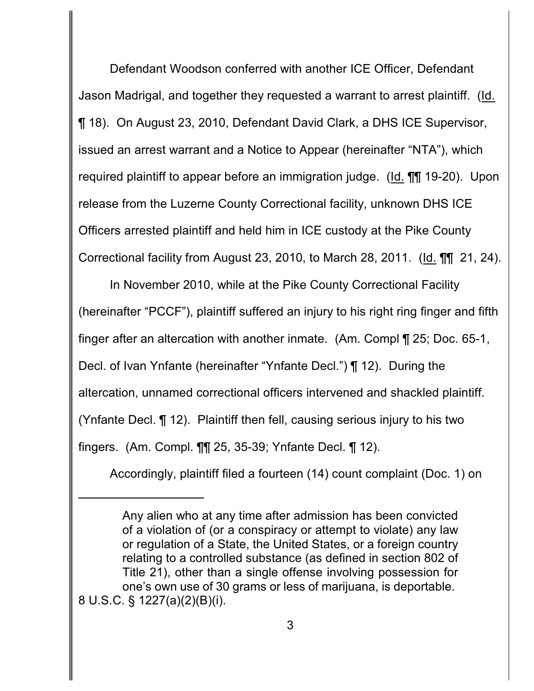Defendant Woodson conferred with another ICE Officer, Defendant Jason Madrigal, and together they requested a warrant to arrest plaintiff. (Id. ¶ 18). On August 23, 2010, Defendant David Clark, a DHS ICE Supervisor, issued an arrest warrant and a Notice to Appear (hereinafter "NTA"), which required plaintiff to appear before an immigration judge. (Id. ¶¶ 19-20). Upon release from the Luzerne County Correctional facility, unknown DHS ICE Officers arrested plaintiff and held him in ICE custody at the Pike County Correctional facility from August 23, 2010, to March 28, 2011. (Id. ¶¶ 21, 24).

In November 2010, while at the Pike County Correctional Facility (hereinafter "PCCF"), plaintiff suffered an injury to his right ring finger and fifth finger after an altercation with another inmate. (Am. Compl ¶ 25; Doc. 65-1, Decl. of Ivan Ynfante (hereinafter "Ynfante Decl.") ¶ 12). During the altercation, unnamed correctional officers intervened and shackled plaintiff. (Ynfante Decl. ¶ 12). Plaintiff then fell, causing serious injury to his two fingers. (Am. Compl. ¶¶ 25, 35-39; Ynfante Decl. ¶ 12).

Accordingly, plaintiff filed a fourteen (14) count complaint (Doc. 1) on

Any alien who at any time after admission has been convicted of a violation of (or a conspiracy or attempt to violate) any law or regulation of a State, the United States, or a foreign country relating to a controlled substance (as defined in section 802 of Title 21), other than a single offense involving possession for one's own use of 30 grams or less of marijuana, is deportable. 8 U.S.C. § 1227(a)(2)(B)(i).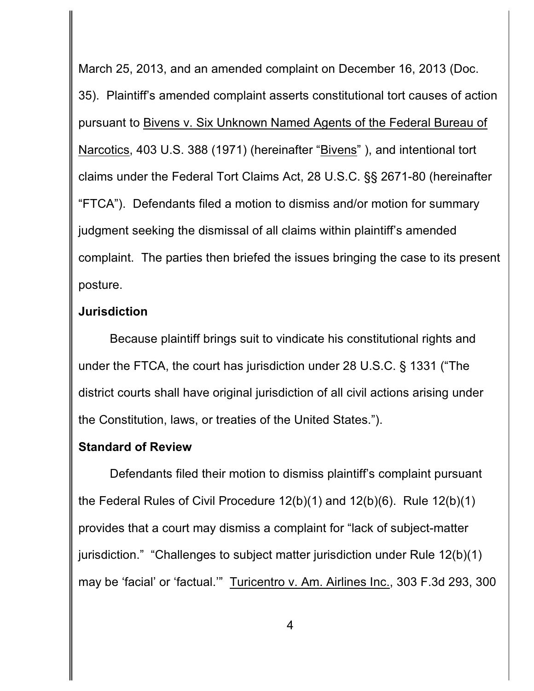March 25, 2013, and an amended complaint on December 16, 2013 (Doc. 35). Plaintiff's amended complaint asserts constitutional tort causes of action pursuant to Bivens v. Six Unknown Named Agents of the Federal Bureau of Narcotics, 403 U.S. 388 (1971) (hereinafter "Bivens" ), and intentional tort claims under the Federal Tort Claims Act, 28 U.S.C. §§ 2671-80 (hereinafter "FTCA"). Defendants filed a motion to dismiss and/or motion for summary judgment seeking the dismissal of all claims within plaintiff's amended complaint. The parties then briefed the issues bringing the case to its present posture.

#### **Jurisdiction**

Because plaintiff brings suit to vindicate his constitutional rights and under the FTCA, the court has jurisdiction under 28 U.S.C. § 1331 ("The district courts shall have original jurisdiction of all civil actions arising under the Constitution, laws, or treaties of the United States.").

### **Standard of Review**

Defendants filed their motion to dismiss plaintiff's complaint pursuant the Federal Rules of Civil Procedure 12(b)(1) and 12(b)(6). Rule 12(b)(1) provides that a court may dismiss a complaint for "lack of subject-matter jurisdiction." "Challenges to subject matter jurisdiction under Rule 12(b)(1) may be 'facial' or 'factual.'" Turicentro v. Am. Airlines Inc., 303 F.3d 293, 300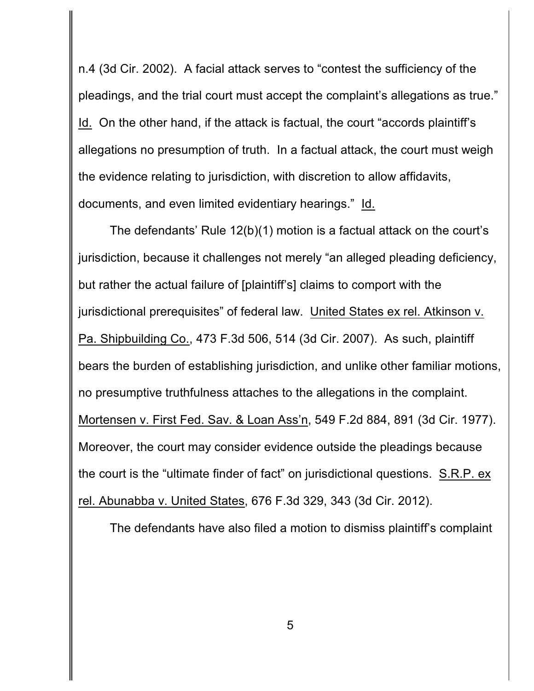n.4 (3d Cir. 2002). A facial attack serves to "contest the sufficiency of the pleadings, and the trial court must accept the complaint's allegations as true." Id. On the other hand, if the attack is factual, the court "accords plaintiff's allegations no presumption of truth. In a factual attack, the court must weigh the evidence relating to jurisdiction, with discretion to allow affidavits, documents, and even limited evidentiary hearings." Id.

The defendants' Rule 12(b)(1) motion is a factual attack on the court's jurisdiction, because it challenges not merely "an alleged pleading deficiency, but rather the actual failure of [plaintiff's] claims to comport with the jurisdictional prerequisites" of federal law. United States ex rel. Atkinson v. Pa. Shipbuilding Co., 473 F.3d 506, 514 (3d Cir. 2007). As such, plaintiff bears the burden of establishing jurisdiction, and unlike other familiar motions, no presumptive truthfulness attaches to the allegations in the complaint. Mortensen v. First Fed. Sav. & Loan Ass'n, 549 F.2d 884, 891 (3d Cir. 1977). Moreover, the court may consider evidence outside the pleadings because the court is the "ultimate finder of fact" on jurisdictional questions. S.R.P. ex rel. Abunabba v. United States, 676 F.3d 329, 343 (3d Cir. 2012).

The defendants have also filed a motion to dismiss plaintiff's complaint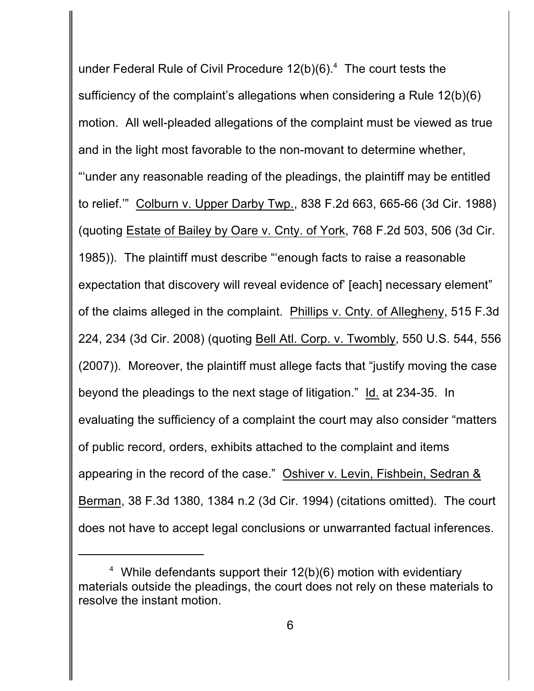under Federal Rule of Civil Procedure  $12(b)(6).$ <sup>4</sup> The court tests the sufficiency of the complaint's allegations when considering a Rule 12(b)(6) motion. All well-pleaded allegations of the complaint must be viewed as true and in the light most favorable to the non-movant to determine whether, "'under any reasonable reading of the pleadings, the plaintiff may be entitled to relief.'" Colburn v. Upper Darby Twp., 838 F.2d 663, 665-66 (3d Cir. 1988) (quoting Estate of Bailey by Oare v. Cnty. of York, 768 F.2d 503, 506 (3d Cir. 1985)). The plaintiff must describe "'enough facts to raise a reasonable expectation that discovery will reveal evidence of' [each] necessary element" of the claims alleged in the complaint. Phillips v. Cnty. of Allegheny, 515 F.3d 224, 234 (3d Cir. 2008) (quoting Bell Atl. Corp. v. Twombly, 550 U.S. 544, 556 (2007)). Moreover, the plaintiff must allege facts that "justify moving the case beyond the pleadings to the next stage of litigation." Id. at 234-35. In evaluating the sufficiency of a complaint the court may also consider "matters of public record, orders, exhibits attached to the complaint and items appearing in the record of the case." Oshiver v. Levin, Fishbein, Sedran & Berman, 38 F.3d 1380, 1384 n.2 (3d Cir. 1994) (citations omitted). The court does not have to accept legal conclusions or unwarranted factual inferences.

<sup>&</sup>lt;sup>4</sup> While defendants support their  $12(b)(6)$  motion with evidentiary materials outside the pleadings, the court does not rely on these materials to resolve the instant motion.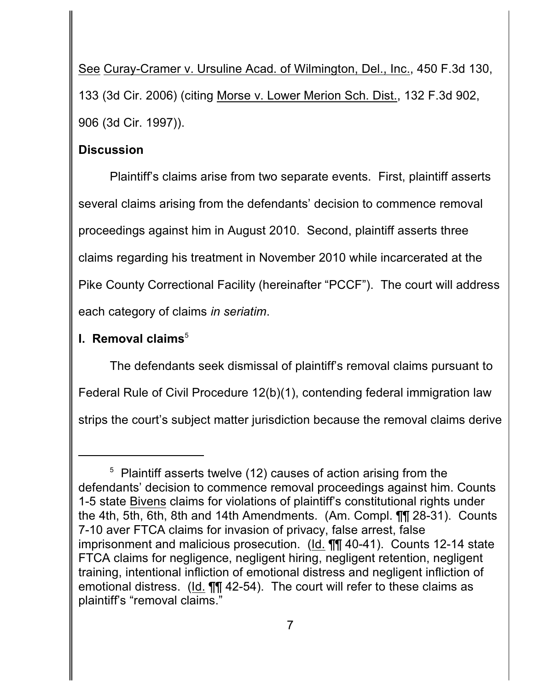See Curay-Cramer v. Ursuline Acad. of Wilmington, Del., Inc., 450 F.3d 130, 133 (3d Cir. 2006) (citing Morse v. Lower Merion Sch. Dist., 132 F.3d 902, 906 (3d Cir. 1997)).

### **Discussion**

Plaintiff's claims arise from two separate events. First, plaintiff asserts several claims arising from the defendants' decision to commence removal proceedings against him in August 2010. Second, plaintiff asserts three claims regarding his treatment in November 2010 while incarcerated at the Pike County Correctional Facility (hereinafter "PCCF"). The court will address each category of claims *in seriatim*.

## **I. Removal claims**<sup>5</sup>

The defendants seek dismissal of plaintiff's removal claims pursuant to Federal Rule of Civil Procedure 12(b)(1), contending federal immigration law strips the court's subject matter jurisdiction because the removal claims derive

 $5$  Plaintiff asserts twelve (12) causes of action arising from the defendants' decision to commence removal proceedings against him. Counts 1-5 state Bivens claims for violations of plaintiff's constitutional rights under the 4th, 5th, 6th, 8th and 14th Amendments. (Am. Compl. ¶¶ 28-31). Counts 7-10 aver FTCA claims for invasion of privacy, false arrest, false imprisonment and malicious prosecution. (Id. ¶¶ 40-41). Counts 12-14 state FTCA claims for negligence, negligent hiring, negligent retention, negligent training, intentional infliction of emotional distress and negligent infliction of emotional distress. (Id. **11** 42-54). The court will refer to these claims as plaintiff's "removal claims."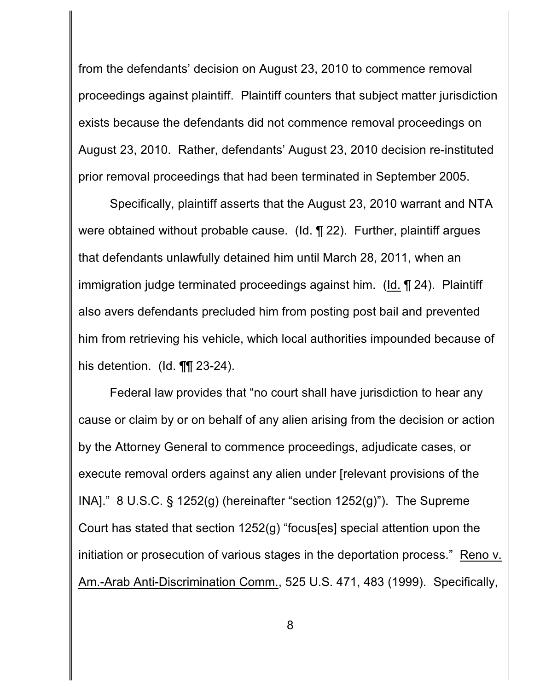from the defendants' decision on August 23, 2010 to commence removal proceedings against plaintiff. Plaintiff counters that subject matter jurisdiction exists because the defendants did not commence removal proceedings on August 23, 2010. Rather, defendants' August 23, 2010 decision re-instituted prior removal proceedings that had been terminated in September 2005.

Specifically, plaintiff asserts that the August 23, 2010 warrant and NTA were obtained without probable cause. (Id. ¶ 22). Further, plaintiff argues that defendants unlawfully detained him until March 28, 2011, when an immigration judge terminated proceedings against him. (Id. ¶ 24). Plaintiff also avers defendants precluded him from posting post bail and prevented him from retrieving his vehicle, which local authorities impounded because of his detention. (Id. **¶¶** 23-24).

Federal law provides that "no court shall have jurisdiction to hear any cause or claim by or on behalf of any alien arising from the decision or action by the Attorney General to commence proceedings, adjudicate cases, or execute removal orders against any alien under [relevant provisions of the INA]." 8 U.S.C. § 1252(g) (hereinafter "section 1252(g)"). The Supreme Court has stated that section 1252(g) "focus[es] special attention upon the initiation or prosecution of various stages in the deportation process." Reno v. Am.-Arab Anti-Discrimination Comm., 525 U.S. 471, 483 (1999). Specifically,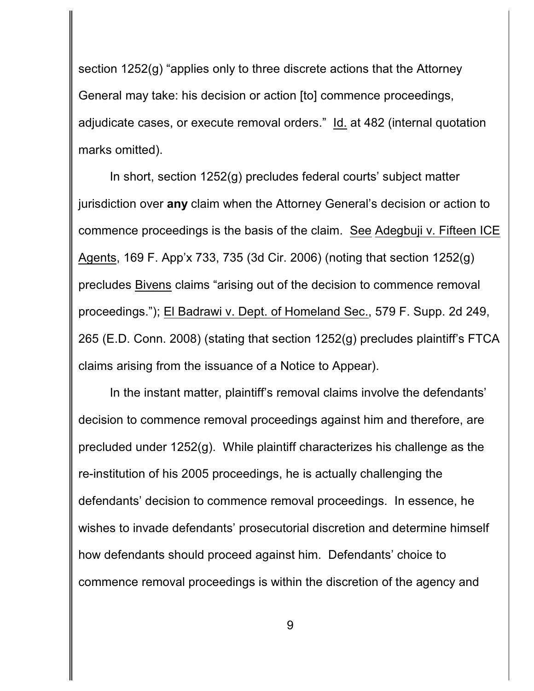section 1252(g) "applies only to three discrete actions that the Attorney General may take: his decision or action [to] commence proceedings, adjudicate cases, or execute removal orders." Id. at 482 (internal quotation marks omitted).

In short, section 1252(g) precludes federal courts' subject matter jurisdiction over **any** claim when the Attorney General's decision or action to commence proceedings is the basis of the claim. See Adegbuji v. Fifteen ICE Agents, 169 F. App'x 733, 735 (3d Cir. 2006) (noting that section 1252(g) precludes Bivens claims "arising out of the decision to commence removal proceedings."); El Badrawi v. Dept. of Homeland Sec., 579 F. Supp. 2d 249, 265 (E.D. Conn. 2008) (stating that section 1252(g) precludes plaintiff's FTCA claims arising from the issuance of a Notice to Appear).

In the instant matter, plaintiff's removal claims involve the defendants' decision to commence removal proceedings against him and therefore, are precluded under 1252(g). While plaintiff characterizes his challenge as the re-institution of his 2005 proceedings, he is actually challenging the defendants' decision to commence removal proceedings. In essence, he wishes to invade defendants' prosecutorial discretion and determine himself how defendants should proceed against him. Defendants' choice to commence removal proceedings is within the discretion of the agency and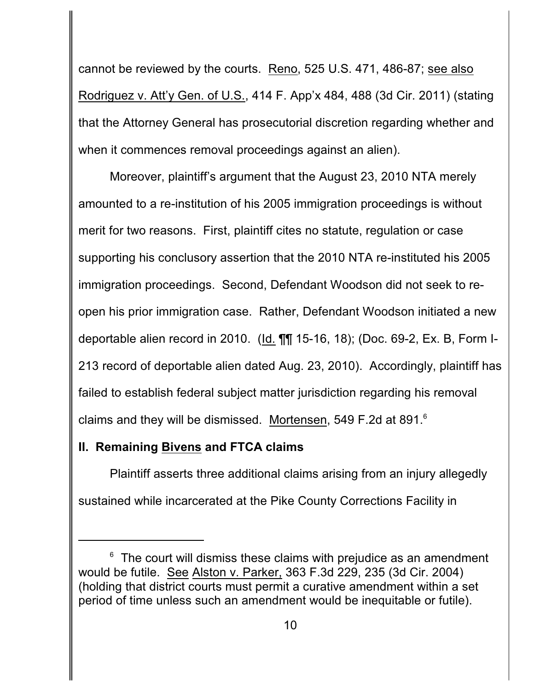cannot be reviewed by the courts. Reno, 525 U.S. 471, 486-87; see also Rodriguez v. Att'y Gen. of U.S., 414 F. App'x 484, 488 (3d Cir. 2011) (stating that the Attorney General has prosecutorial discretion regarding whether and when it commences removal proceedings against an alien).

Moreover, plaintiff's argument that the August 23, 2010 NTA merely amounted to a re-institution of his 2005 immigration proceedings is without merit for two reasons. First, plaintiff cites no statute, regulation or case supporting his conclusory assertion that the 2010 NTA re-instituted his 2005 immigration proceedings. Second, Defendant Woodson did not seek to reopen his prior immigration case. Rather, Defendant Woodson initiated a new deportable alien record in 2010. (Id. ¶¶ 15-16, 18); (Doc. 69-2, Ex. B, Form I-213 record of deportable alien dated Aug. 23, 2010). Accordingly, plaintiff has failed to establish federal subject matter jurisdiction regarding his removal claims and they will be dismissed. Mortensen, 549 F.2d at 891.<sup>6</sup>

### **II. Remaining Bivens and FTCA claims**

Plaintiff asserts three additional claims arising from an injury allegedly sustained while incarcerated at the Pike County Corrections Facility in

 $6$  The court will dismiss these claims with prejudice as an amendment would be futile. See Alston v. Parker, 363 F.3d 229, 235 (3d Cir. 2004) (holding that district courts must permit a curative amendment within a set period of time unless such an amendment would be inequitable or futile).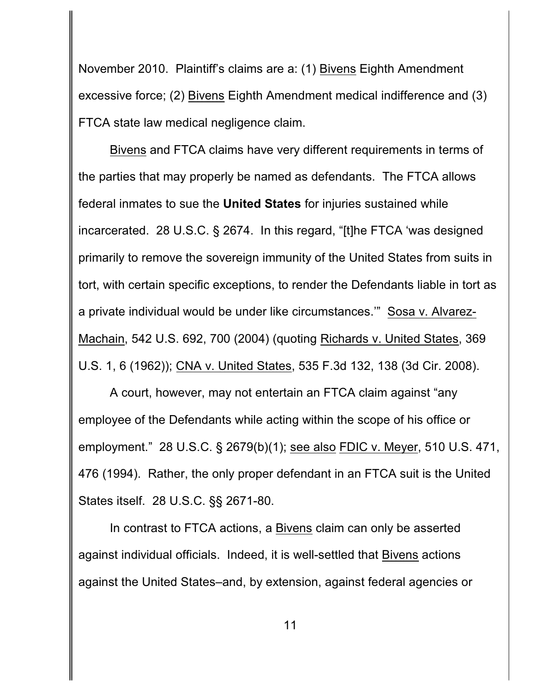November 2010. Plaintiff's claims are a: (1) Bivens Eighth Amendment excessive force; (2) Bivens Eighth Amendment medical indifference and (3) FTCA state law medical negligence claim.

Bivens and FTCA claims have very different requirements in terms of the parties that may properly be named as defendants. The FTCA allows federal inmates to sue the **United States** for injuries sustained while incarcerated. 28 U.S.C. § 2674. In this regard, "[t]he FTCA 'was designed primarily to remove the sovereign immunity of the United States from suits in tort, with certain specific exceptions, to render the Defendants liable in tort as a private individual would be under like circumstances.'" Sosa v. Alvarez-Machain, 542 U.S. 692, 700 (2004) (quoting Richards v. United States, 369 U.S. 1, 6 (1962)); CNA v. United States, 535 F.3d 132, 138 (3d Cir. 2008).

A court, however, may not entertain an FTCA claim against "any employee of the Defendants while acting within the scope of his office or employment." 28 U.S.C. § 2679(b)(1); see also FDIC v. Meyer, 510 U.S. 471, 476 (1994). Rather, the only proper defendant in an FTCA suit is the United States itself. 28 U.S.C. §§ 2671-80.

In contrast to FTCA actions, a Bivens claim can only be asserted against individual officials. Indeed, it is well-settled that Bivens actions against the United States–and, by extension, against federal agencies or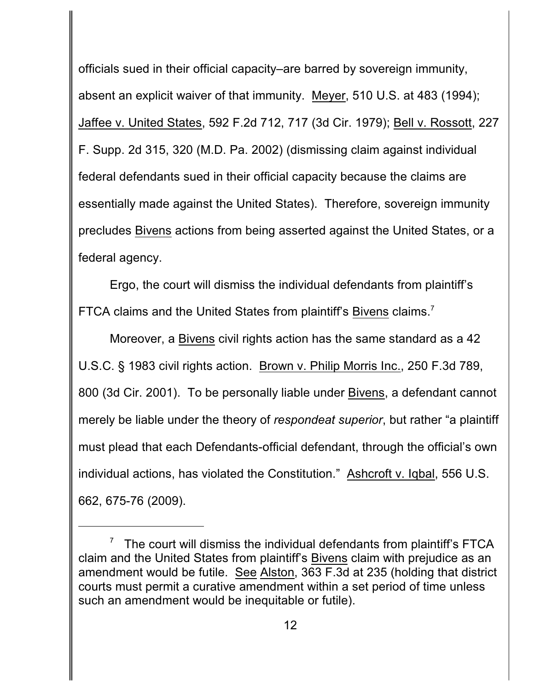officials sued in their official capacity–are barred by sovereign immunity, absent an explicit waiver of that immunity. Meyer, 510 U.S. at 483 (1994); Jaffee v. United States, 592 F.2d 712, 717 (3d Cir. 1979); Bell v. Rossott, 227 F. Supp. 2d 315, 320 (M.D. Pa. 2002) (dismissing claim against individual federal defendants sued in their official capacity because the claims are essentially made against the United States). Therefore, sovereign immunity precludes Bivens actions from being asserted against the United States, or a federal agency.

Ergo, the court will dismiss the individual defendants from plaintiff's FTCA claims and the United States from plaintiff's **Bivens** claims.<sup>7</sup>

Moreover, a Bivens civil rights action has the same standard as a 42 U.S.C. § 1983 civil rights action. Brown v. Philip Morris Inc., 250 F.3d 789, 800 (3d Cir. 2001). To be personally liable under Bivens, a defendant cannot merely be liable under the theory of *respondeat superior*, but rather "a plaintiff must plead that each Defendants-official defendant, through the official's own individual actions, has violated the Constitution." Ashcroft v. Iqbal, 556 U.S. 662, 675-76 (2009).

 $7$  The court will dismiss the individual defendants from plaintiff's FTCA claim and the United States from plaintiff's Bivens claim with prejudice as an amendment would be futile. See Alston, 363 F.3d at 235 (holding that district courts must permit a curative amendment within a set period of time unless such an amendment would be inequitable or futile).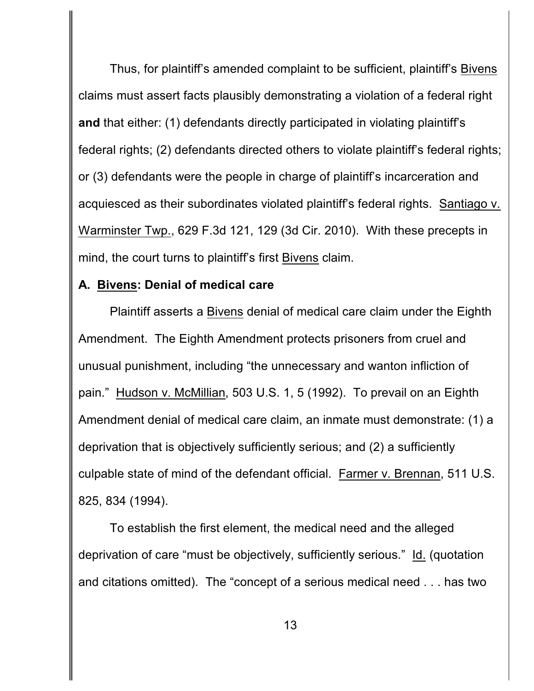Thus, for plaintiff's amended complaint to be sufficient, plaintiff's Bivens claims must assert facts plausibly demonstrating a violation of a federal right **and** that either: (1) defendants directly participated in violating plaintiff's federal rights; (2) defendants directed others to violate plaintiff's federal rights; or (3) defendants were the people in charge of plaintiff's incarceration and acquiesced as their subordinates violated plaintiff's federal rights. Santiago v. Warminster Twp., 629 F.3d 121, 129 (3d Cir. 2010). With these precepts in mind, the court turns to plaintiff's first Bivens claim.

## **A. Bivens: Denial of medical care**

Plaintiff asserts a Bivens denial of medical care claim under the Eighth Amendment. The Eighth Amendment protects prisoners from cruel and unusual punishment, including "the unnecessary and wanton infliction of pain." Hudson v. McMillian, 503 U.S. 1, 5 (1992). To prevail on an Eighth Amendment denial of medical care claim, an inmate must demonstrate: (1) a deprivation that is objectively sufficiently serious; and (2) a sufficiently culpable state of mind of the defendant official. Farmer v. Brennan, 511 U.S. 825, 834 (1994).

To establish the first element, the medical need and the alleged deprivation of care "must be objectively, sufficiently serious." Id. (quotation and citations omitted). The "concept of a serious medical need . . . has two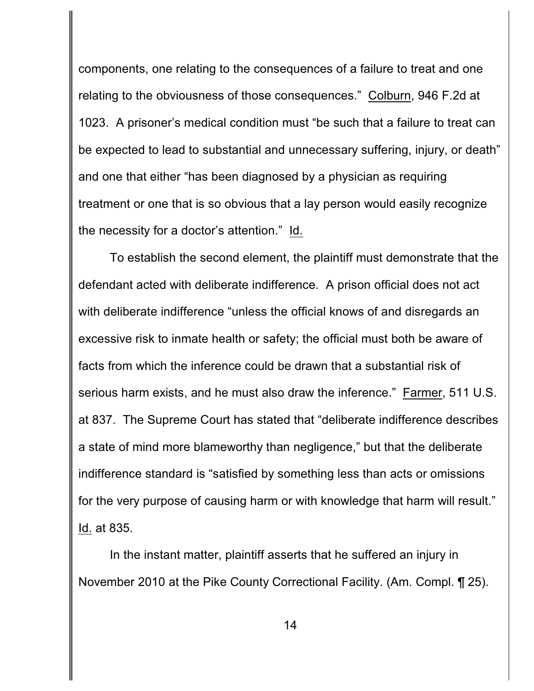components, one relating to the consequences of a failure to treat and one relating to the obviousness of those consequences." Colburn, 946 F.2d at 1023. A prisoner's medical condition must "be such that a failure to treat can be expected to lead to substantial and unnecessary suffering, injury, or death" and one that either "has been diagnosed by a physician as requiring treatment or one that is so obvious that a lay person would easily recognize the necessity for a doctor's attention." Id.

To establish the second element, the plaintiff must demonstrate that the defendant acted with deliberate indifference. A prison official does not act with deliberate indifference "unless the official knows of and disregards an excessive risk to inmate health or safety; the official must both be aware of facts from which the inference could be drawn that a substantial risk of serious harm exists, and he must also draw the inference." Farmer, 511 U.S. at 837. The Supreme Court has stated that "deliberate indifference describes a state of mind more blameworthy than negligence," but that the deliberate indifference standard is "satisfied by something less than acts or omissions for the very purpose of causing harm or with knowledge that harm will result." Id. at 835.

In the instant matter, plaintiff asserts that he suffered an injury in November 2010 at the Pike County Correctional Facility. (Am. Compl. ¶ 25).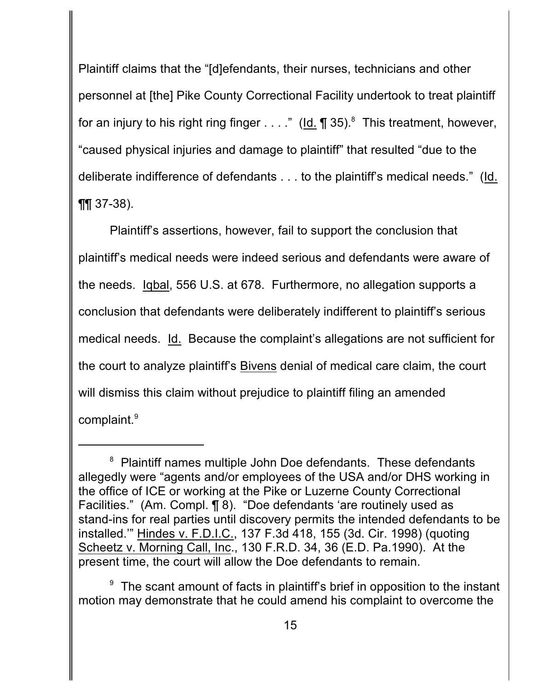Plaintiff claims that the "[d]efendants, their nurses, technicians and other personnel at [the] Pike County Correctional Facility undertook to treat plaintiff for an injury to his right ring finger  $\dots$ ." (Id. ¶ 35).<sup>8</sup> This treatment, however, "caused physical injuries and damage to plaintiff" that resulted "due to the deliberate indifference of defendants . . . to the plaintiff's medical needs." (Id.  $\P\P$  37-38).

Plaintiff's assertions, however, fail to support the conclusion that plaintiff's medical needs were indeed serious and defendants were aware of the needs. Iqbal, 556 U.S. at 678. Furthermore, no allegation supports a conclusion that defendants were deliberately indifferent to plaintiff's serious medical needs. Id. Because the complaint's allegations are not sufficient for the court to analyze plaintiff's Bivens denial of medical care claim, the court will dismiss this claim without prejudice to plaintiff filing an amended complaint.<sup>9</sup>

 $8$  Plaintiff names multiple John Doe defendants. These defendants allegedly were "agents and/or employees of the USA and/or DHS working in the office of ICE or working at the Pike or Luzerne County Correctional Facilities." (Am. Compl. ¶ 8). "Doe defendants 'are routinely used as stand-ins for real parties until discovery permits the intended defendants to be installed.'" Hindes v. F.D.I.C., 137 F.3d 418, 155 (3d. Cir. 1998) (quoting Scheetz v. Morning Call, Inc., 130 F.R.D. 34, 36 (E.D. Pa.1990). At the present time, the court will allow the Doe defendants to remain.

 $9$  The scant amount of facts in plaintiff's brief in opposition to the instant motion may demonstrate that he could amend his complaint to overcome the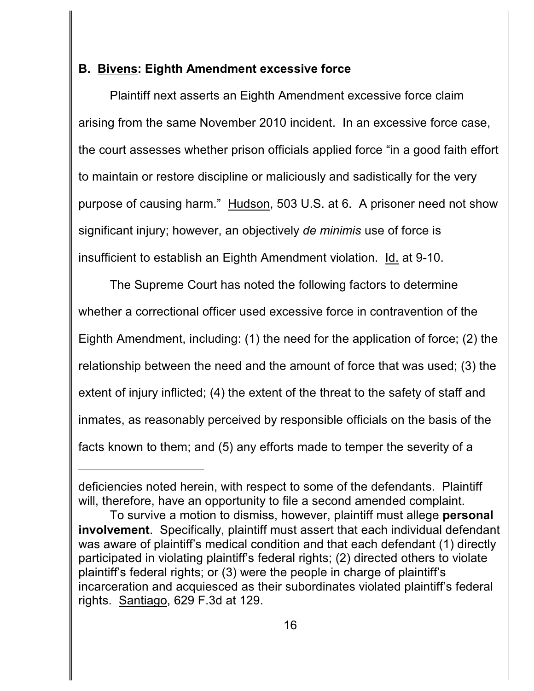## **B. Bivens: Eighth Amendment excessive force**

Plaintiff next asserts an Eighth Amendment excessive force claim arising from the same November 2010 incident. In an excessive force case, the court assesses whether prison officials applied force "in a good faith effort to maintain or restore discipline or maliciously and sadistically for the very purpose of causing harm." Hudson, 503 U.S. at 6. A prisoner need not show significant injury; however, an objectively *de minimis* use of force is insufficient to establish an Eighth Amendment violation. Id. at 9-10.

The Supreme Court has noted the following factors to determine whether a correctional officer used excessive force in contravention of the Eighth Amendment, including: (1) the need for the application of force; (2) the relationship between the need and the amount of force that was used; (3) the extent of injury inflicted; (4) the extent of the threat to the safety of staff and inmates, as reasonably perceived by responsible officials on the basis of the facts known to them; and (5) any efforts made to temper the severity of a

deficiencies noted herein, with respect to some of the defendants. Plaintiff will, therefore, have an opportunity to file a second amended complaint.

To survive a motion to dismiss, however, plaintiff must allege **personal involvement**. Specifically, plaintiff must assert that each individual defendant was aware of plaintiff's medical condition and that each defendant (1) directly participated in violating plaintiff's federal rights; (2) directed others to violate plaintiff's federal rights; or (3) were the people in charge of plaintiff's incarceration and acquiesced as their subordinates violated plaintiff's federal rights. Santiago, 629 F.3d at 129.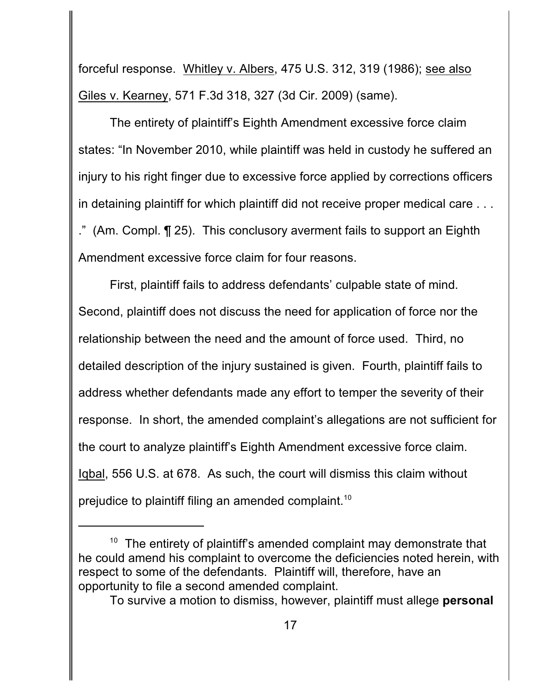forceful response. Whitley v. Albers, 475 U.S. 312, 319 (1986); see also Giles v. Kearney, 571 F.3d 318, 327 (3d Cir. 2009) (same).

The entirety of plaintiff's Eighth Amendment excessive force claim states: "In November 2010, while plaintiff was held in custody he suffered an injury to his right finger due to excessive force applied by corrections officers in detaining plaintiff for which plaintiff did not receive proper medical care . . . ." (Am. Compl. ¶ 25). This conclusory averment fails to support an Eighth Amendment excessive force claim for four reasons.

First, plaintiff fails to address defendants' culpable state of mind. Second, plaintiff does not discuss the need for application of force nor the relationship between the need and the amount of force used. Third, no detailed description of the injury sustained is given. Fourth, plaintiff fails to address whether defendants made any effort to temper the severity of their response. In short, the amended complaint's allegations are not sufficient for the court to analyze plaintiff's Eighth Amendment excessive force claim. Iqbal, 556 U.S. at 678. As such, the court will dismiss this claim without prejudice to plaintiff filing an amended complaint.<sup>10</sup>

 $10$  The entirety of plaintiff's amended complaint may demonstrate that he could amend his complaint to overcome the deficiencies noted herein, with respect to some of the defendants. Plaintiff will, therefore, have an opportunity to file a second amended complaint.

To survive a motion to dismiss, however, plaintiff must allege **personal**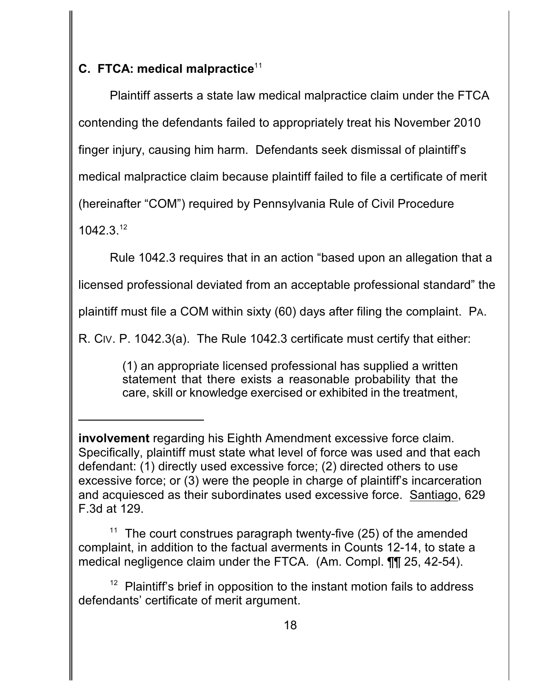# **C. FTCA: medical malpractice** 11

Plaintiff asserts a state law medical malpractice claim under the FTCA contending the defendants failed to appropriately treat his November 2010 finger injury, causing him harm. Defendants seek dismissal of plaintiff's medical malpractice claim because plaintiff failed to file a certificate of merit (hereinafter "COM") required by Pennsylvania Rule of Civil Procedure 1042.3. 12

Rule 1042.3 requires that in an action "based upon an allegation that a

licensed professional deviated from an acceptable professional standard" the

plaintiff must file a COM within sixty (60) days after filing the complaint. PA.

R. CIV. P. 1042.3(a). The Rule 1042.3 certificate must certify that either:

(1) an appropriate licensed professional has supplied a written statement that there exists a reasonable probability that the care, skill or knowledge exercised or exhibited in the treatment,

The court construes paragraph twenty-five (25) of the amended complaint, in addition to the factual averments in Counts 12-14, to state a medical negligence claim under the FTCA. (Am. Compl. ¶¶ 25, 42-54).

 $12$  Plaintiff's brief in opposition to the instant motion fails to address defendants' certificate of merit argument.

**involvement** regarding his Eighth Amendment excessive force claim. Specifically, plaintiff must state what level of force was used and that each defendant: (1) directly used excessive force; (2) directed others to use excessive force; or (3) were the people in charge of plaintiff's incarceration and acquiesced as their subordinates used excessive force. Santiago, 629 F.3d at 129.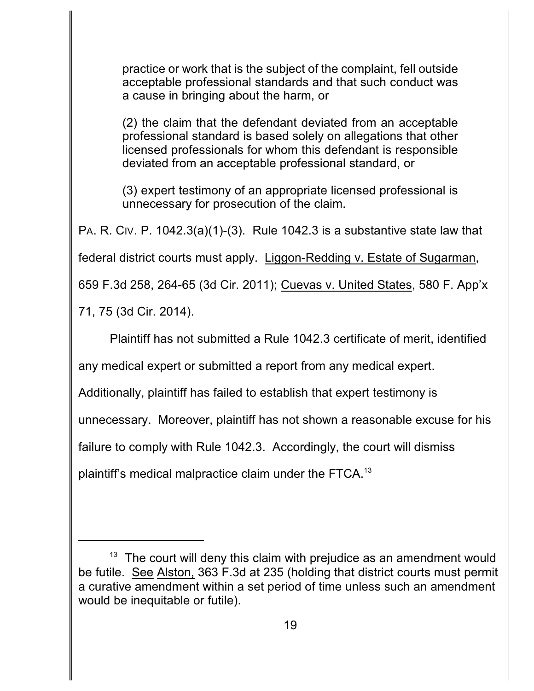practice or work that is the subject of the complaint, fell outside acceptable professional standards and that such conduct was a cause in bringing about the harm, or

(2) the claim that the defendant deviated from an acceptable professional standard is based solely on allegations that other licensed professionals for whom this defendant is responsible deviated from an acceptable professional standard, or

(3) expert testimony of an appropriate licensed professional is unnecessary for prosecution of the claim.

PA. R. CIV. P. 1042.3(a)(1)-(3). Rule 1042.3 is a substantive state law that

federal district courts must apply. Liggon-Redding v. Estate of Sugarman,

659 F.3d 258, 264-65 (3d Cir. 2011); Cuevas v. United States, 580 F. App'x

71, 75 (3d Cir. 2014).

Plaintiff has not submitted a Rule 1042.3 certificate of merit, identified

any medical expert or submitted a report from any medical expert.

Additionally, plaintiff has failed to establish that expert testimony is

unnecessary. Moreover, plaintiff has not shown a reasonable excuse for his

failure to comply with Rule 1042.3. Accordingly, the court will dismiss

plaintiff's medical malpractice claim under the FTCA. $^{13}$ 

 $13$  The court will deny this claim with prejudice as an amendment would be futile. See Alston, 363 F.3d at 235 (holding that district courts must permit a curative amendment within a set period of time unless such an amendment would be inequitable or futile).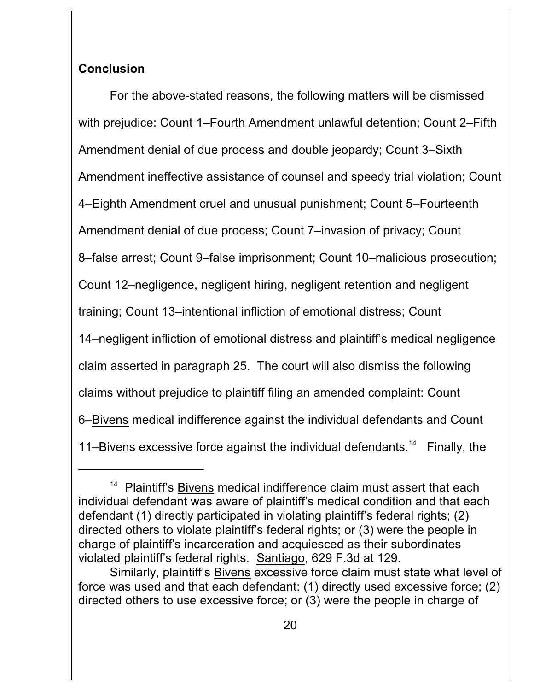## **Conclusion**

For the above-stated reasons, the following matters will be dismissed with prejudice: Count 1–Fourth Amendment unlawful detention; Count 2–Fifth Amendment denial of due process and double jeopardy; Count 3–Sixth Amendment ineffective assistance of counsel and speedy trial violation; Count 4–Eighth Amendment cruel and unusual punishment; Count 5–Fourteenth Amendment denial of due process; Count 7–invasion of privacy; Count 8–false arrest; Count 9–false imprisonment; Count 10–malicious prosecution; Count 12–negligence, negligent hiring, negligent retention and negligent training; Count 13–intentional infliction of emotional distress; Count 14–negligent infliction of emotional distress and plaintiff's medical negligence claim asserted in paragraph 25. The court will also dismiss the following claims without prejudice to plaintiff filing an amended complaint: Count 6–Bivens medical indifference against the individual defendants and Count 11–Bivens excessive force against the individual defendants.<sup>14</sup> Finally, the

<sup>&</sup>lt;sup>14</sup> Plaintiff's Bivens medical indifference claim must assert that each individual defendant was aware of plaintiff's medical condition and that each defendant (1) directly participated in violating plaintiff's federal rights; (2) directed others to violate plaintiff's federal rights; or (3) were the people in charge of plaintiff's incarceration and acquiesced as their subordinates violated plaintiff's federal rights. Santiago, 629 F.3d at 129.

Similarly, plaintiff's Bivens excessive force claim must state what level of force was used and that each defendant: (1) directly used excessive force; (2) directed others to use excessive force; or (3) were the people in charge of